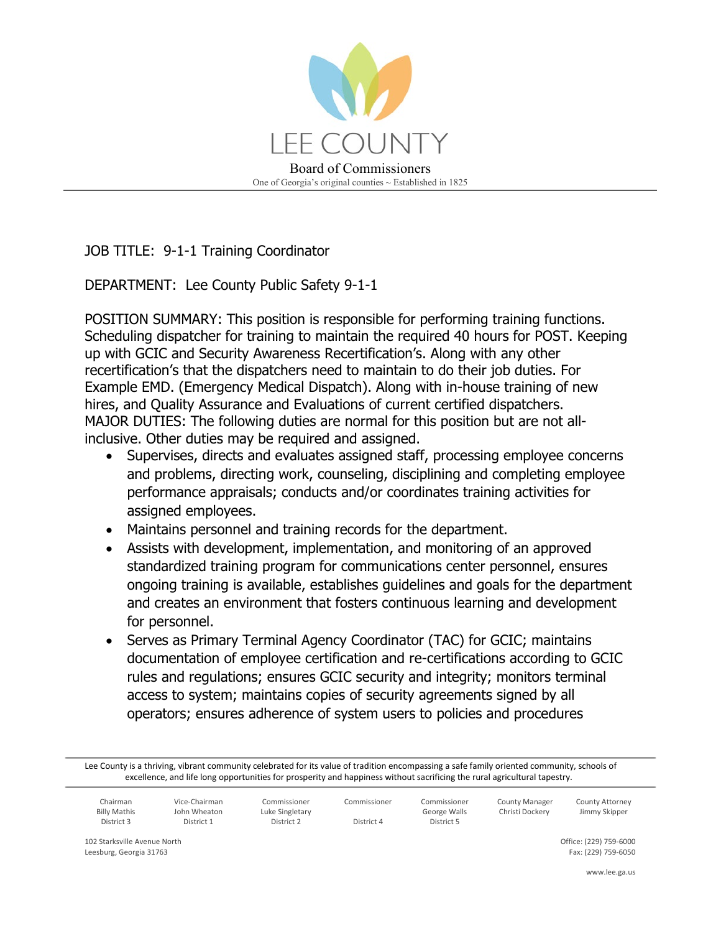

JOB TITLE: 9-1-1 Training Coordinator

DEPARTMENT: Lee County Public Safety 9-1-1

POSITION SUMMARY: This position is responsible for performing training functions. Scheduling dispatcher for training to maintain the required 40 hours for POST. Keeping up with GCIC and Security Awareness Recertification's. Along with any other recertification's that the dispatchers need to maintain to do their job duties. For Example EMD. (Emergency Medical Dispatch). Along with in-house training of new hires, and Quality Assurance and Evaluations of current certified dispatchers. MAJOR DUTIES: The following duties are normal for this position but are not allinclusive. Other duties may be required and assigned.

- Supervises, directs and evaluates assigned staff, processing employee concerns and problems, directing work, counseling, disciplining and completing employee performance appraisals; conducts and/or coordinates training activities for assigned employees.
- Maintains personnel and training records for the department.
- Assists with development, implementation, and monitoring of an approved standardized training program for communications center personnel, ensures ongoing training is available, establishes guidelines and goals for the department and creates an environment that fosters continuous learning and development for personnel.
- Serves as Primary Terminal Agency Coordinator (TAC) for GCIC; maintains documentation of employee certification and re-certifications according to GCIC rules and regulations; ensures GCIC security and integrity; monitors terminal access to system; maintains copies of security agreements signed by all operators; ensures adherence of system users to policies and procedures

Lee County is a thriving, vibrant community celebrated for its value of tradition encompassing a safe family oriented community, schools of excellence, and life long opportunities for prosperity and happiness without sacrificing the rural agricultural tapestry.

| `hairman<br><b>Billy Mathis</b><br>District 3 | Vice-Chairman<br>John Wheaton<br>District 1 | Commissioner<br>Luke Singletary<br>District 2 | Commissioner<br>District 4 | Commissioner<br>George Walls<br>District 5 | <b>County Manager</b><br>Christi Dockerv | County Attorney<br>Jimmy Skipper |
|-----------------------------------------------|---------------------------------------------|-----------------------------------------------|----------------------------|--------------------------------------------|------------------------------------------|----------------------------------|
|-----------------------------------------------|---------------------------------------------|-----------------------------------------------|----------------------------|--------------------------------------------|------------------------------------------|----------------------------------|

102 Starksville Avenue North Leesburg, Georgia 31763

Office: (229) 759-6000 Fax: (229) 759-6050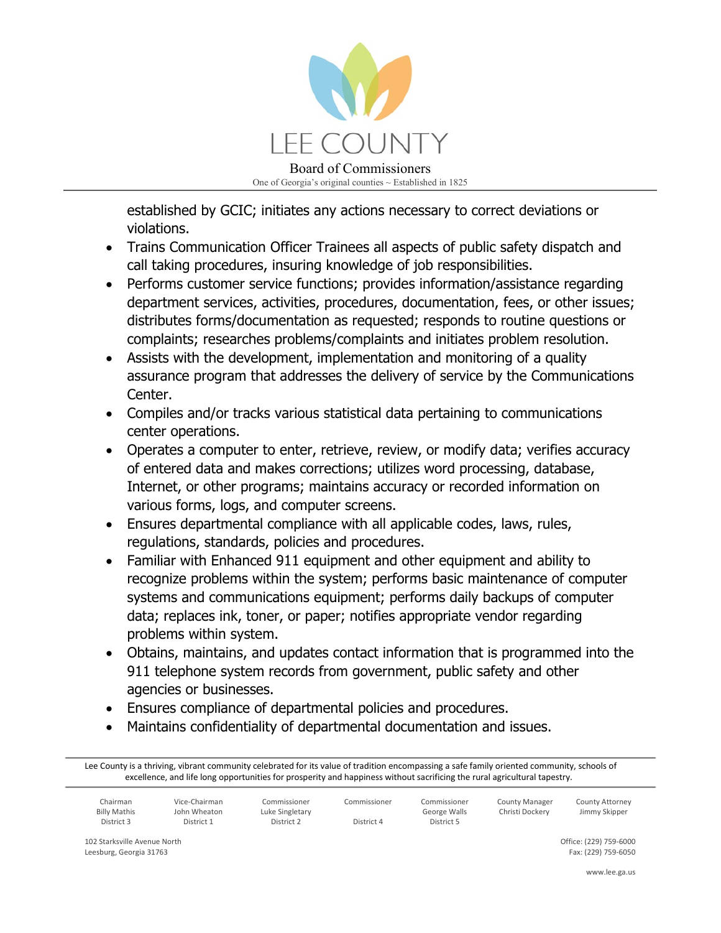

established by GCIC; initiates any actions necessary to correct deviations or violations.

- Trains Communication Officer Trainees all aspects of public safety dispatch and call taking procedures, insuring knowledge of job responsibilities.
- Performs customer service functions; provides information/assistance regarding department services, activities, procedures, documentation, fees, or other issues; distributes forms/documentation as requested; responds to routine questions or complaints; researches problems/complaints and initiates problem resolution.
- Assists with the development, implementation and monitoring of a quality assurance program that addresses the delivery of service by the Communications Center.
- Compiles and/or tracks various statistical data pertaining to communications center operations.
- Operates a computer to enter, retrieve, review, or modify data; verifies accuracy of entered data and makes corrections; utilizes word processing, database, Internet, or other programs; maintains accuracy or recorded information on various forms, logs, and computer screens.
- Ensures departmental compliance with all applicable codes, laws, rules, regulations, standards, policies and procedures.
- Familiar with Enhanced 911 equipment and other equipment and ability to recognize problems within the system; performs basic maintenance of computer systems and communications equipment; performs daily backups of computer data; replaces ink, toner, or paper; notifies appropriate vendor regarding problems within system.
- Obtains, maintains, and updates contact information that is programmed into the 911 telephone system records from government, public safety and other agencies or businesses.
- Ensures compliance of departmental policies and procedures.
- Maintains confidentiality of departmental documentation and issues.

Lee County is a thriving, vibrant community celebrated for its value of tradition encompassing a safe family oriented community, schools of excellence, and life long opportunities for prosperity and happiness without sacrificing the rural agricultural tapestry.

| Chairman            | Vice-Chairman | Commissioner    | Commissioner | Commissioner | <b>County Manager</b> | County Attorney |
|---------------------|---------------|-----------------|--------------|--------------|-----------------------|-----------------|
| <b>Billy Mathis</b> | John Wheaton  | Luke Singletary |              | George Walls | Christi Dockerv       | Jimmy Skipper   |
| District 3          | District 1    | District 2      | District 4   | District 5   |                       |                 |
|                     |               |                 |              |              |                       |                 |

102 Starksville Avenue North Leesburg, Georgia 31763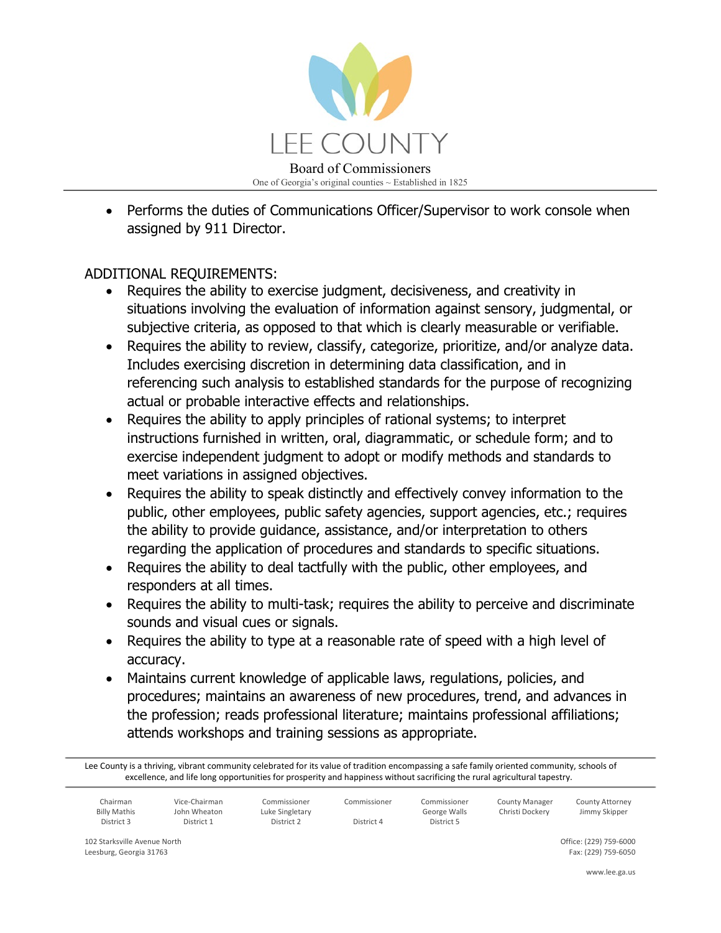

• Performs the duties of Communications Officer/Supervisor to work console when assigned by 911 Director.

## ADDITIONAL REQUIREMENTS:

- Requires the ability to exercise judgment, decisiveness, and creativity in situations involving the evaluation of information against sensory, judgmental, or subjective criteria, as opposed to that which is clearly measurable or verifiable.
- Requires the ability to review, classify, categorize, prioritize, and/or analyze data. Includes exercising discretion in determining data classification, and in referencing such analysis to established standards for the purpose of recognizing actual or probable interactive effects and relationships.
- Requires the ability to apply principles of rational systems; to interpret instructions furnished in written, oral, diagrammatic, or schedule form; and to exercise independent judgment to adopt or modify methods and standards to meet variations in assigned objectives.
- Requires the ability to speak distinctly and effectively convey information to the public, other employees, public safety agencies, support agencies, etc.; requires the ability to provide guidance, assistance, and/or interpretation to others regarding the application of procedures and standards to specific situations.
- Requires the ability to deal tactfully with the public, other employees, and responders at all times.
- Requires the ability to multi-task; requires the ability to perceive and discriminate sounds and visual cues or signals.
- Requires the ability to type at a reasonable rate of speed with a high level of accuracy.
- Maintains current knowledge of applicable laws, regulations, policies, and procedures; maintains an awareness of new procedures, trend, and advances in the profession; reads professional literature; maintains professional affiliations; attends workshops and training sessions as appropriate.

Lee County is a thriving, vibrant community celebrated for its value of tradition encompassing a safe family oriented community, schools of excellence, and life long opportunities for prosperity and happiness without sacrificing the rural agricultural tapestry.

| Chairman            | Vice-Chairman | Commissioner    | Commissioner | Commissioner | <b>County Manager</b> | <b>County Attorney</b> |
|---------------------|---------------|-----------------|--------------|--------------|-----------------------|------------------------|
| <b>Billy Mathis</b> | John Wheaton  | Luke Singletary |              | George Walls | Christi Dockery       | Jimmy Skipper          |
| District 3          | District 1    | District 2      | District 4   | District 5   |                       |                        |
|                     |               |                 |              |              |                       |                        |

102 Starksville Avenue North Leesburg, Georgia 31763

Office: (229) 759-6000 Fax: (229) 759-6050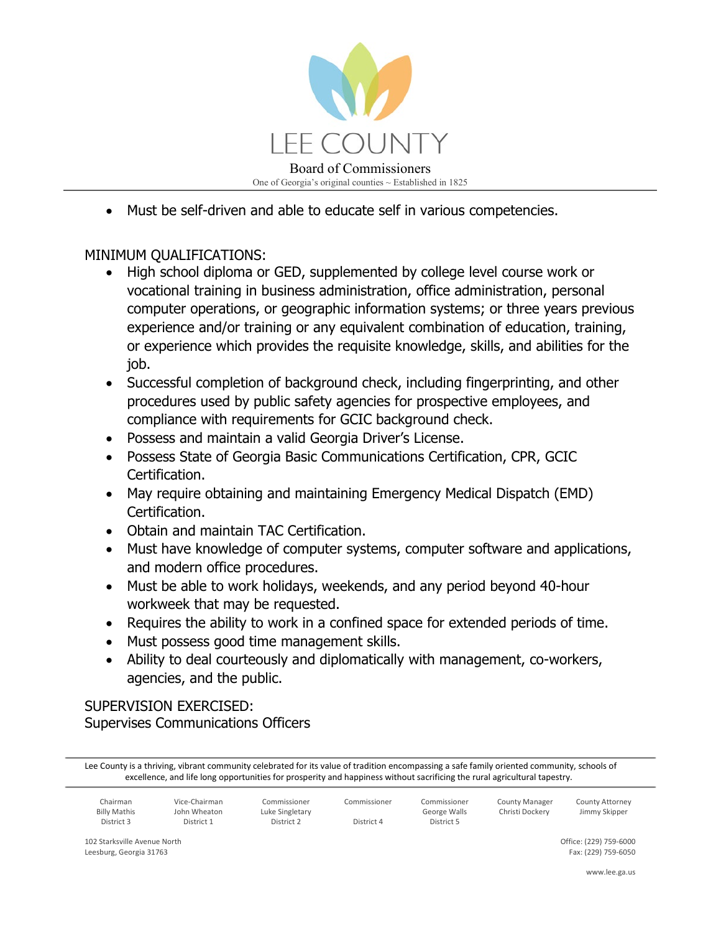

• Must be self-driven and able to educate self in various competencies.

## MINIMUM QUALIFICATIONS:

- High school diploma or GED, supplemented by college level course work or vocational training in business administration, office administration, personal computer operations, or geographic information systems; or three years previous experience and/or training or any equivalent combination of education, training, or experience which provides the requisite knowledge, skills, and abilities for the job.
- Successful completion of background check, including fingerprinting, and other procedures used by public safety agencies for prospective employees, and compliance with requirements for GCIC background check.
- Possess and maintain a valid Georgia Driver's License.
- Possess State of Georgia Basic Communications Certification, CPR, GCIC Certification.
- May require obtaining and maintaining Emergency Medical Dispatch (EMD) Certification.
- Obtain and maintain TAC Certification.
- Must have knowledge of computer systems, computer software and applications, and modern office procedures.
- Must be able to work holidays, weekends, and any period beyond 40-hour workweek that may be requested.
- Requires the ability to work in a confined space for extended periods of time.
- Must possess good time management skills.
- Ability to deal courteously and diplomatically with management, co-workers, agencies, and the public.

## SUPERVISION EXERCISED: Supervises Communications Officers

Lee County is a thriving, vibrant community celebrated for its value of tradition encompassing a safe family oriented community, schools of excellence, and life long opportunities for prosperity and happiness without sacrificing the rural agricultural tapestry.

| Chairman            | Vice-Chairman | Commissioner    | Commissioner | Commissioner | <b>County Manager</b> | County Attorney |
|---------------------|---------------|-----------------|--------------|--------------|-----------------------|-----------------|
| <b>Billy Mathis</b> | John Wheaton  | Luke Singletary |              | George Walls | Christi Dockerv       | Jimmy Skipper   |
| District 3          | District 1    | District 2      | District 4   | District 5   |                       |                 |

102 Starksville Avenue North Leesburg, Georgia 31763